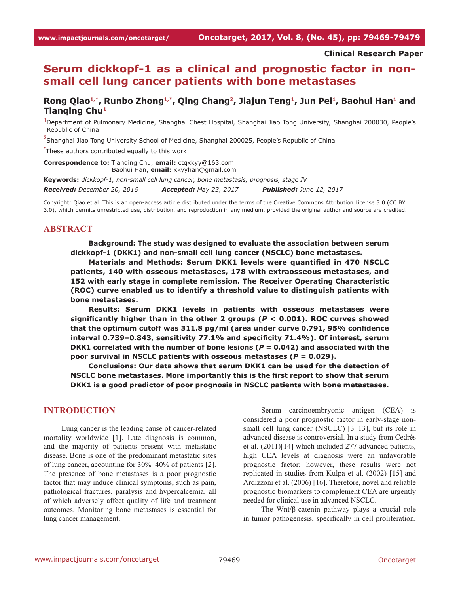#### **Clinical Research Paper**

# **Serum dickkopf-1 as a clinical and prognostic factor in nonsmall cell lung cancer patients with bone metastases**

Rong Qiao<sup>1,\*</sup>, Runbo Zhong<sup>1,\*</sup>, Qing Chang<sup>2</sup>, Jiajun Teng<sup>1</sup>, Jun Pei<sup>1</sup>, Baohui Han<sup>1</sup> and **Tianqing Chu1**

**1** Department of Pulmonary Medicine, Shanghai Chest Hospital, Shanghai Jiao Tong University, Shanghai 200030, People's Republic of China

**2** Shanghai Jiao Tong University School of Medicine, Shanghai 200025, People's Republic of China

**\*** These authors contributed equally to this work

**Correspondence to: Tianging Chu, email: ctgxkyy@163.com** Baohui Han, **email:** xkyyhan@gmail.com

**Keywords:** *dickkopf-1, non-small cell lung cancer, bone metastasis, prognosis, stage IV Received: December 20, 2016 Accepted: May 23, 2017 Published: June 12, 2017*

Copyright: Qiao et al. This is an open-access article distributed under the terms of the Creative Commons Attribution License 3.0 (CC BY 3.0), which permits unrestricted use, distribution, and reproduction in any medium, provided the original author and source are credited.

### **ABSTRACT**

**Background: The study was designed to evaluate the association between serum dickkopf-1 (DKK1) and non-small cell lung cancer (NSCLC) bone metastases.**

**Materials and Methods: Serum DKK1 levels were quantified in 470 NSCLC patients, 140 with osseous metastases, 178 with extraosseous metastases, and 152 with early stage in complete remission. The Receiver Operating Characteristic (ROC) curve enabled us to identify a threshold value to distinguish patients with bone metastases.**

**Results: Serum DKK1 levels in patients with osseous metastases were significantly higher than in the other 2 groups (***P* **< 0.001). ROC curves showed that the optimum cutoff was 311.8 pg/ml (area under curve 0.791, 95% confidence interval 0.739–0.843, sensitivity 77.1% and specificity 71.4%). Of interest, serum DKK1 correlated with the number of bone lesions (***P* **= 0.042) and associated with the poor survival in NSCLC patients with osseous metastases (***P* **= 0.029).**

**Conclusions: Our data shows that serum DKK1 can be used for the detection of NSCLC bone metastases. More importantly this is the first report to show that serum DKK1 is a good predictor of poor prognosis in NSCLC patients with bone metastases.**

#### **INTRODUCTION**

Lung cancer is the leading cause of cancer-related mortality worldwide [1]. Late diagnosis is common, and the majority of patients present with metastatic disease. Bone is one of the predominant metastatic sites of lung cancer, accounting for 30%–40% of patients [2]. The presence of bone metastases is a poor prognostic factor that may induce clinical symptoms, such as pain, pathological fractures, paralysis and hypercalcemia, all of which adversely affect quality of life and treatment outcomes. Monitoring bone metastases is essential for lung cancer management.

Serum carcinoembryonic antigen (CEA) is considered a poor prognostic factor in early-stage nonsmall cell lung cancer (NSCLC) [3-13], but its role in advanced disease is controversial. In a study from Cedrés et al. (2011)[14] which included 277 advanced patients, high CEA levels at diagnosis were an unfavorable prognostic factor; however, these results were not replicated in studies from Kulpa et al. (2002) [15] and Ardizzoni et al. (2006) [16]. Therefore, novel and reliable prognostic biomarkers to complement CEA are urgently needed for clinical use in advanced NSCLC.

The Wnt/β-catenin pathway plays a crucial role in tumor pathogenesis, specifically in cell proliferation,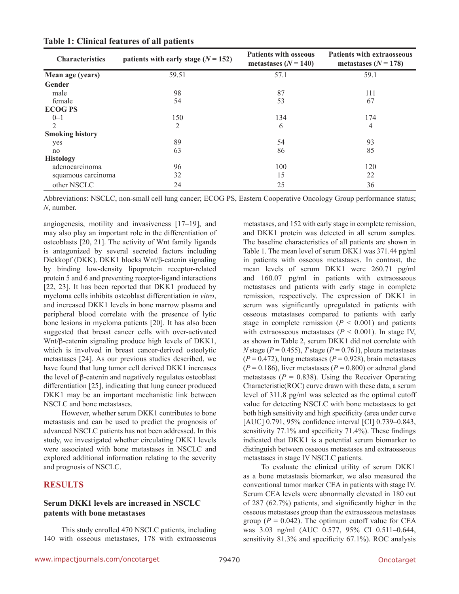| <b>Characteristics</b><br>patients with early stage $(N = 152)$ |       | <b>Patients with osseous</b><br>metastases $(N = 140)$ | <b>Patients with extraosseous</b><br>metastases $(N=178)$ |  |
|-----------------------------------------------------------------|-------|--------------------------------------------------------|-----------------------------------------------------------|--|
| Mean age (years)                                                | 59.51 | 57.1                                                   | 59.1                                                      |  |
| Gender                                                          |       |                                                        |                                                           |  |
| male                                                            | 98    | 87                                                     | 111                                                       |  |
| female                                                          | 54    | 53                                                     | 67                                                        |  |
| <b>ECOG PS</b>                                                  |       |                                                        |                                                           |  |
| $0 - 1$                                                         | 150   | 134                                                    | 174                                                       |  |
| $\overline{2}$                                                  | 2     | 6                                                      | 4                                                         |  |
| <b>Smoking history</b>                                          |       |                                                        |                                                           |  |
| yes                                                             | 89    | 54                                                     | 93                                                        |  |
| no                                                              | 63    | 86                                                     | 85                                                        |  |
| <b>Histology</b>                                                |       |                                                        |                                                           |  |
| adenocarcinoma                                                  | 96    | 100                                                    | 120                                                       |  |
| squamous carcinoma                                              | 32    | 15                                                     | 22                                                        |  |
| other NSCLC                                                     | 24    | 25                                                     | 36                                                        |  |

**Table 1: Clinical features of all patients**

Abbreviations: NSCLC, non-small cell lung cancer; ECOG PS, Eastern Cooperative Oncology Group performance status; *N*, number.

angiogenesis, motility and invasiveness [17–19], and may also play an important role in the differentiation of osteoblasts [20, 21]. The activity of Wnt family ligands is antagonized by several secreted factors including Dickkopf (DKK). DKK1 blocks Wnt/β-catenin signaling by binding low-density lipoprotein receptor-related protein 5 and 6 and preventing receptor-ligand interactions [22, 23]. It has been reported that DKK1 produced by myeloma cells inhibits osteoblast differentiation *in vitro*, and increased DKK1 levels in bone marrow plasma and peripheral blood correlate with the presence of lytic bone lesions in myeloma patients [20]. It has also been suggested that breast cancer cells with over-activated Wnt/β-catenin signaling produce high levels of DKK1, which is involved in breast cancer-derived osteolytic metastases [24]. As our previous studies described, we have found that lung tumor cell derived DKK1 increases the level of β-catenin and negatively regulates osteoblast differentiation [25], indicating that lung cancer produced DKK1 may be an important mechanistic link between NSCLC and bone metastases.

However, whether serum DKK1 contributes to bone metastasis and can be used to predict the prognosis of advanced NSCLC patients has not been addressed. In this study, we investigated whether circulating DKK1 levels were associated with bone metastases in NSCLC and explored additional information relating to the severity and prognosis of NSCLC.

# **RESULTS**

### **Serum DKK1 levels are increased in NSCLC patents with bone metastases**

This study enrolled 470 NSCLC patients, including 140 with osseous metastases, 178 with extraosseous metastases, and 152 with early stage in complete remission, and DKK1 protein was detected in all serum samples. The baseline characteristics of all patients are shown in Table 1. The mean level of serum DKK1 was 371.44 pg/ml in patients with osseous metastases. In contrast, the mean levels of serum DKK1 were 260.71 pg/ml and 160.07 pg/ml in patients with extraosseous metastases and patients with early stage in complete remission, respectively. The expression of DKK1 in serum was significantly upregulated in patients with osseous metastases compared to patients with early stage in complete remission  $(P < 0.001)$  and patients with extraosseous metastases ( $P < 0.001$ ). In stage IV, as shown in Table 2, serum DKK1 did not correlate with *N* stage ( $P = 0.455$ ), *T* stage ( $P = 0.761$ ), pleura metastases  $(P = 0.472)$ , lung metastases  $(P = 0.928)$ , brain metastases  $(P = 0.186)$ , liver metastases  $(P = 0.800)$  or adrenal gland metastases ( $P = 0.838$ ). Using the Receiver Operating Characteristic(ROC) curve drawn with these data, a serum level of 311.8 pg/ml was selected as the optimal cutoff value for detecting NSCLC with bone metastases to get both high sensitivity and high specificity (area under curve [AUC] 0.791, 95% confidence interval [CI] 0.739-0.843, sensitivity 77.1% and specificity 71.4%). These findings indicated that DKK1 is a potential serum biomarker to distinguish between osseous metastases and extraosseous metastases in stage IV NSCLC patients.

To evaluate the clinical utility of serum DKK1 as a bone metastasis biomarker, we also measured the conventional tumor marker CEA in patients with stage IV. Serum CEA levels were abnormally elevated in 180 out of 287 (62.7%) patients, and significantly higher in the osseous metastases group than the extraosseous metastases group ( $P = 0.042$ ). The optimum cutoff value for CEA was 3.03 ng/ml (AUC 0.577, 95% CI 0.511–0.644, sensitivity 81.3% and specificity 67.1%). ROC analysis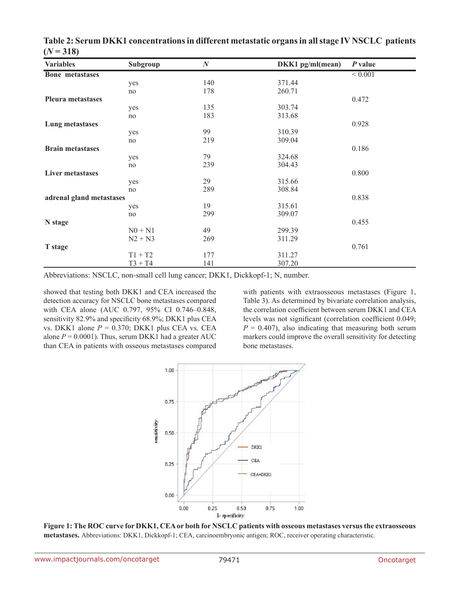|    | $\boldsymbol{N}$                                                                                                                                           | DKK1 pg/ml(mean)                                                                                 | P value                                                                                                                                                   |
|----|------------------------------------------------------------------------------------------------------------------------------------------------------------|--------------------------------------------------------------------------------------------------|-----------------------------------------------------------------------------------------------------------------------------------------------------------|
|    |                                                                                                                                                            |                                                                                                  | < 0.001                                                                                                                                                   |
|    |                                                                                                                                                            | 371.44                                                                                           |                                                                                                                                                           |
| no |                                                                                                                                                            |                                                                                                  |                                                                                                                                                           |
|    |                                                                                                                                                            |                                                                                                  | 0.472                                                                                                                                                     |
|    |                                                                                                                                                            |                                                                                                  |                                                                                                                                                           |
| no |                                                                                                                                                            |                                                                                                  |                                                                                                                                                           |
|    |                                                                                                                                                            |                                                                                                  | 0.928                                                                                                                                                     |
|    |                                                                                                                                                            |                                                                                                  |                                                                                                                                                           |
|    |                                                                                                                                                            |                                                                                                  |                                                                                                                                                           |
|    |                                                                                                                                                            |                                                                                                  | 0.186                                                                                                                                                     |
|    |                                                                                                                                                            |                                                                                                  |                                                                                                                                                           |
|    |                                                                                                                                                            |                                                                                                  |                                                                                                                                                           |
|    |                                                                                                                                                            |                                                                                                  | 0.800                                                                                                                                                     |
|    |                                                                                                                                                            |                                                                                                  |                                                                                                                                                           |
|    |                                                                                                                                                            |                                                                                                  |                                                                                                                                                           |
|    |                                                                                                                                                            |                                                                                                  | 0.838                                                                                                                                                     |
|    |                                                                                                                                                            |                                                                                                  |                                                                                                                                                           |
|    |                                                                                                                                                            |                                                                                                  |                                                                                                                                                           |
|    |                                                                                                                                                            |                                                                                                  | 0.455                                                                                                                                                     |
|    |                                                                                                                                                            |                                                                                                  |                                                                                                                                                           |
|    |                                                                                                                                                            |                                                                                                  |                                                                                                                                                           |
|    |                                                                                                                                                            |                                                                                                  | 0.761                                                                                                                                                     |
|    |                                                                                                                                                            |                                                                                                  |                                                                                                                                                           |
|    |                                                                                                                                                            |                                                                                                  |                                                                                                                                                           |
|    | Subgroup<br>yes<br>yes<br>yes<br>no<br>yes<br>no<br>yes<br>no<br>adrenal gland metastases<br>yes<br>no<br>$N0 + N1$<br>$N2 + N3$<br>$T1 + T2$<br>$T3 + T4$ | 140<br>178<br>135<br>183<br>99<br>219<br>79<br>239<br>29<br>289<br>19<br>299<br>49<br>269<br>177 | 260.71<br>303.74<br>313.68<br>310.39<br>309.04<br>324.68<br>304.43<br>315.66<br>308.84<br>315.61<br>309.07<br>299.39<br>311.29<br>311.27<br>141<br>307.20 |

**Table 2: Serum DKK1 concentrations in different metastatic organs in all stage IV NSCLC patients**   $(N = 318)$ 

Abbreviations: NSCLC, non-small cell lung cancer; DKK1, Dickkopf-1; N, number.

showed that testing both DKK1 and CEA increased the detection accuracy for NSCLC bone metastases compared with CEA alone (AUC 0.797, 95% CI 0.746–0.848, sensitivity 82.9% and specificity 68.9%; DKK1 plus CEA vs. DKK1 alone  $P = 0.370$ ; DKK1 plus CEA vs. CEA alone  $P = 0.0001$ ). Thus, serum DKK1 had a greater AUC than CEA in patients with osseous metastases compared

with patients with extraosseous metastases (Figure 1, Table 3). As determined by bivariate correlation analysis, the correlation coefficient between serum DKK1 and CEA levels was not significant (correlation coefficient 0.049;  $P = 0.407$ , also indicating that measuring both serum markers could improve the overall sensitivity for detecting bone metastases.



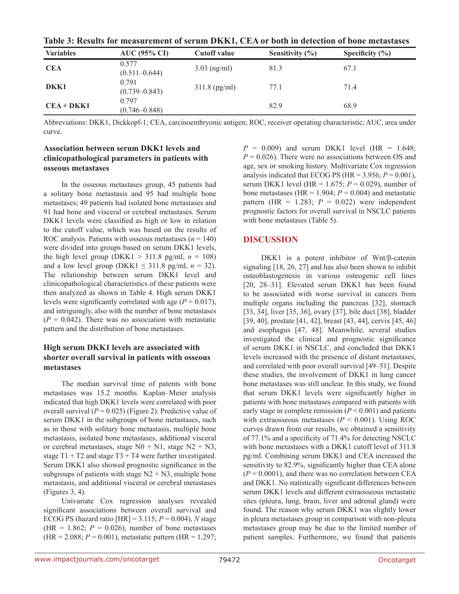| TROIC OF INSURIST TOT HIMBUT CHIVILE OF BUT WHIT D'IXIXIA QETT OF BOULD HI MUNUCHON OF BOHU HIMBURGUS |                            |                     |                     |                     |  |
|-------------------------------------------------------------------------------------------------------|----------------------------|---------------------|---------------------|---------------------|--|
| <b>Variables</b>                                                                                      | <b>AUC</b> (95% CI)        | <b>Cutoff value</b> | Sensitivity $(\% )$ | Specificity $(\% )$ |  |
| <b>CEA</b>                                                                                            | 0.577<br>$(0.511 - 0.644)$ | $3.03$ (ng/ml)      | 81.3                | 67.1                |  |
| DKK1                                                                                                  | 0.791<br>$(0.739 - 0.843)$ | $311.8$ (pg/ml)     | 77.1                | 71.4                |  |
| $CEA + DKK1$                                                                                          | 0.797<br>$(0.746 - 0.848)$ |                     | 82.9                | 68.9                |  |

**Table 3: Results for measurement of serum DKK1, CEA or both in detection of bone metastases**

Abbreviations: DKK1, Dickkopf-1; CEA, carcinoembryonic antigen; ROC, receiver operating characteristic; AUC, area under curve.

# **Association between serum DKK1 levels and clinicopathological parameters in patients with osseous metastases**

In the osseous metastases group, 45 patients had a solitary bone metastasis and 95 had multiple bone metastases; 49 patients had isolated bone metastases and 91 had bone and visceral or cerebral metastases. Serum DKK1 levels were classified as high or low in relation to the cutoff value, which was based on the results of ROC analysis. Patients with osseous metastases  $(n = 140)$ were divided into groups based on serum DKK1 levels, the high level group (DKK1  $>$  311.8 pg/ml,  $n = 108$ ) and a low level group (DKK1  $\leq$  311.8 pg/ml,  $n = 32$ ). The relationship between serum DKK1 level and clinicopathological characteristics of these patients were then analyzed as shown in Table 4. High serum DKK1 levels were significantly correlated with age  $(P = 0.017)$ , and intriguingly, also with the number of bone metastases  $(P = 0.042)$ . There was no association with metastatic pattern and the distribution of bone metastases.

### **High serum DKK1 levels are associated with shorter overall survival in patients with osseous metastases**

The median survival time of patents with bone metastases was 15.2 months. Kaplan–Meier analysis indicated that high DKK1 levels were correlated with poor overall survival ( $P = 0.025$ ) (Figure 2). Predictive value of serum DKK1 in the subgroups of bone metastases, such as in those with solitary bone metastasis, multiple bone metastasis, isolated bone metastases, additional visceral or cerebral metastases, stage  $N0 + N1$ , stage  $N2 + N3$ , stage  $T1 + T2$  and stage  $T3 + T4$  were further investigated. Serum DKK1 also showed prognostic significance in the subgroups of patients with stage  $N2 + N3$ , multiple bone metastasis, and additional visceral or cerebral metastases (Figures 3, 4).

Univariate Cox regression analyses revealed significant associations between overall survival and ECOG PS (hazard ratio [HR] = 3.115; *P* = 0.004), *N* stage (HR = 1.862;  $P = 0.026$ ), number of bone metastases  $(HR = 2.088; P = 0.001)$ , metastatic pattern  $(HR = 1.297;$   $P = 0.009$ ) and serum DKK1 level (HR = 1.648;  $P = 0.026$ ). There were no associations between OS and age, sex or smoking history. Multivariate Cox regression analysis indicated that ECOG PS (HR =  $3.956$ ;  $P = 0.001$ ), serum DKK1 level (HR = 1.675; *P* = 0.029), number of bone metastases (HR =  $1.904$ ;  $P = 0.004$ ) and metastatic pattern (HR =  $1.283$ ;  $P = 0.022$ ) were independent prognostic factors for overall survival in NSCLC patients with bone metastases (Table 5).

# **DISCUSSION**

DKK1 is a potent inhibitor of Wnt/β-catenin signaling [18, 26, 27] and has also been shown to inhibit osteoblastogenesis in various osteogenic cell lines [20, 28–31]. Elevated serum DKK1 has been found to be associated with worse survival in cancers from multiple organs including the pancreas [32], stomach [33, 34], liver [35, 36], ovary [37], bile duct [38], bladder [39, 40], prostate [41, 42], breast [43, 44], cervix [45, 46] and esophagus [47, 48]. Meanwhile, several studies investigated the clinical and prognostic significance of serum DKK1 in NSCLC, and concluded that DKK1 levels increased with the presence of distant metastases, and correlated with poor overall survival [49–51]. Despite these studies, the involvement of DKK1 in lung cancer bone metastases was still unclear. In this study, we found that serum DKK1 levels were significantly higher in patients with bone metastases compared with patients with early stage in complete remission  $(P < 0.001)$  and patients with extraosseous metastases ( $P < 0.001$ ). Using ROC curves drawn from our results, we obtained a sensitivity of 77.1% and a specificity of 71.4% for detecting NSCLC with bone metastases with a DKK1 cutoff level of 311.8 pg/ml. Combining serum DKK1 and CEA increased the sensitivity to 82.9%, significantly higher than CEA alone  $(P = 0.0001)$ , and there was no correlation between CEA and DKK1. No statistically significant differences between serum DKK1 levels and different extraosseous metastatic sites (pleura, lung, brain, liver and adrenal gland) were found. The reason why serum DKK1 was slightly lower in pleura metastases group in comparison with non-pleura metastases group may be due to the limited number of patient samples. Furthermore, we found that patients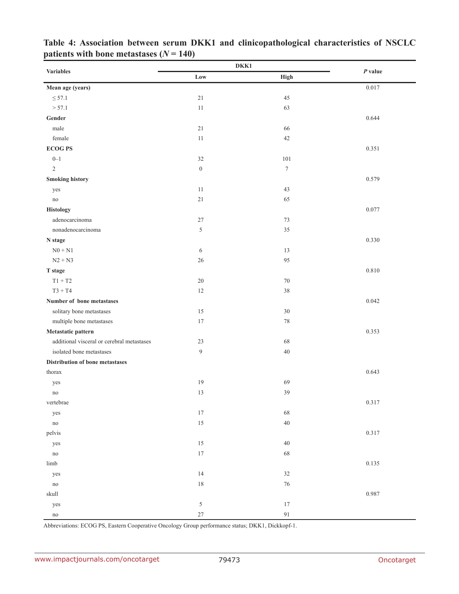|                                            | DKK1             |                  |           |
|--------------------------------------------|------------------|------------------|-----------|
| <b>Variables</b>                           | Low              | High             | $P$ value |
| Mean age (years)                           |                  |                  | 0.017     |
| $\leq$ 57.1                                | 21               | 45               |           |
| > 57.1                                     | $11\,$           | 63               |           |
| Gender                                     |                  |                  | 0.644     |
| male                                       | 21               | 66               |           |
| female                                     | $11\,$           | 42               |           |
| <b>ECOGPS</b>                              |                  |                  | 0.351     |
| $0 - 1$                                    | $32\,$           | $101\,$          |           |
| $\sqrt{2}$                                 | $\boldsymbol{0}$ | $\boldsymbol{7}$ |           |
| <b>Smoking history</b>                     |                  |                  | 0.579     |
| yes                                        | $11\,$           | 43               |           |
| no                                         | 21               | 65               |           |
| <b>Histology</b>                           |                  |                  | 0.077     |
| adenocarcinoma                             | $27\,$           | 73               |           |
| nonadenocarcinoma                          | $\sqrt{5}$       | 35               |           |
| N stage                                    |                  |                  | 0.330     |
| $N0 + N1$                                  | 6                | 13               |           |
| $N2 + N3$                                  | 26               | 95               |           |
| T stage                                    |                  |                  | 0.810     |
| $T1 + T2$                                  | $20\,$           | $70\,$           |           |
| $T3 + T4$                                  | 12               | 38               |           |
| Number of bone metastases                  |                  |                  | 0.042     |
| solitary bone metastases                   | 15               | 30               |           |
| multiple bone metastases                   | 17               | $78\,$           |           |
| Metastatic pattern                         |                  |                  | 0.353     |
| additional visceral or cerebral metastases | 23               | 68               |           |
| isolated bone metastases                   | $\boldsymbol{9}$ | $40\,$           |           |
| Distribution of bone metastases            |                  |                  |           |
| thorax                                     |                  |                  | 0.643     |
| yes                                        | 19               | 69               |           |
| no                                         | 13               | 39               |           |
| vertebrae                                  |                  |                  | 0.317     |
| yes                                        | $17\,$           | 68               |           |
| $\rm no$                                   | 15               | $40\,$           |           |
| pelvis                                     |                  |                  | 0.317     |
| yes                                        | 15               | $40\,$           |           |
| $\rm no$                                   | $17\,$           | 68               |           |
| $limb$                                     |                  |                  | 0.135     |
| yes                                        | 14               | 32               |           |
| $\rm no$                                   | 18               | 76               |           |
| skull                                      |                  |                  | 0.987     |
| yes                                        | $\sqrt{5}$       | $17\,$           |           |
| $\rm no$                                   | 27               | $91\,$           |           |

**Table 4: Association between serum DKK1 and clinicopathological characteristics of NSCLC patients with bone metastases**  $(N = 140)$ 

Abbreviations: ECOG PS, Eastern Cooperative Oncology Group performance status; DKK1, Dickkopf-1.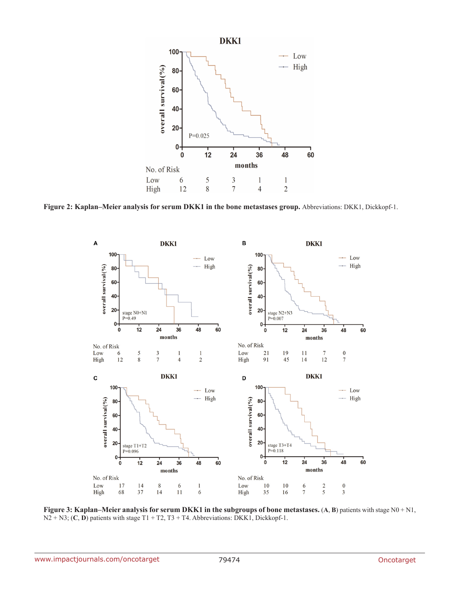

**Figure 2: Kaplan–Meier analysis for serum DKK1 in the bone metastases group.** Abbreviations: DKK1, Dickkopf-1.



**Figure 3: Kaplan–Meier analysis for serum DKK1 in the subgroups of bone metastases. (A, B) patients with stage N0 + N1,** N2 + N3; (**C**, **D**) patients with stage T1 + T2, T3 + T4. Abbreviations: DKK1, Dickkopf-1.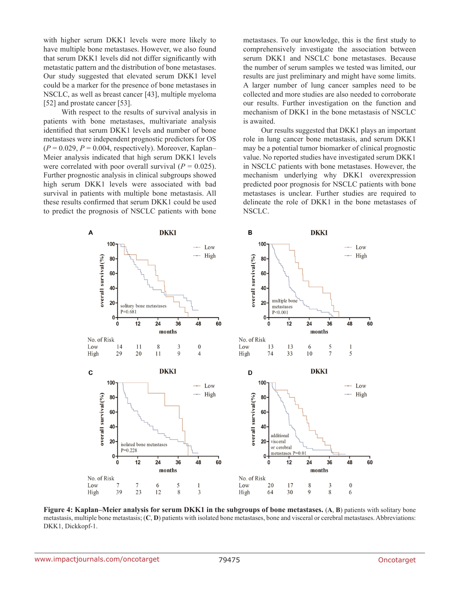with higher serum DKK1 levels were more likely to have multiple bone metastases. However, we also found that serum DKK1 levels did not differ significantly with metastatic pattern and the distribution of bone metastases. Our study suggested that elevated serum DKK1 level could be a marker for the presence of bone metastases in NSCLC, as well as breast cancer [43], multiple myeloma [52] and prostate cancer [53].

With respect to the results of survival analysis in patients with bone metastases, multivariate analysis identified that serum DKK1 levels and number of bone metastases were independent prognostic predictors for OS  $(P = 0.029, P = 0.004, respectively)$ . Moreover, Kaplan– Meier analysis indicated that high serum DKK1 levels were correlated with poor overall survival  $(P = 0.025)$ . Further prognostic analysis in clinical subgroups showed high serum DKK1 levels were associated with bad survival in patients with multiple bone metastasis. All these results confirmed that serum DKK1 could be used to predict the prognosis of NSCLC patients with bone metastases. To our knowledge, this is the first study to comprehensively investigate the association between serum DKK1 and NSCLC bone metastases. Because the number of serum samples we tested was limited, our results are just preliminary and might have some limits. A larger number of lung cancer samples need to be collected and more studies are also needed to corroborate our results. Further investigation on the function and mechanism of DKK1 in the bone metastasis of NSCLC is awaited.

Our results suggested that DKK1 plays an important role in lung cancer bone metastasis, and serum DKK1 may be a potential tumor biomarker of clinical prognostic value. No reported studies have investigated serum DKK1 in NSCLC patients with bone metastases. However, the mechanism underlying why DKK1 overexpression predicted poor prognosis for NSCLC patients with bone metastases is unclear. Further studies are required to delineate the role of DKK1 in the bone metastases of NSCLC.



**Figure 4: Kaplan–Meier analysis for serum DKK1 in the subgroups of bone metastases.** (**A**, **B**) patients with solitary bone metastasis, multiple bone metastasis; (C, D) patients with isolated bone metastases, bone and visceral or cerebral metastases. Abbreviations: DKK1, Dickkopf-1.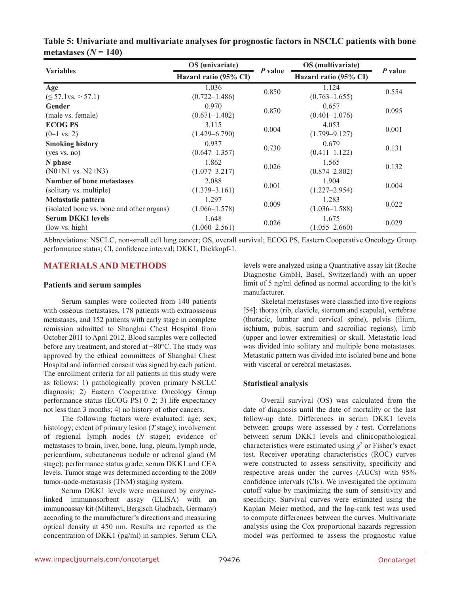| <b>Variables</b>                          | OS (univariate)       |         | OS (multivariate)     | P value |  |
|-------------------------------------------|-----------------------|---------|-----------------------|---------|--|
|                                           | Hazard ratio (95% CI) | P value | Hazard ratio (95% CI) |         |  |
| Age                                       | 1.036                 | 0.850   | 1.124                 | 0.554   |  |
| $( \leq 57.1 \text{vs.} > 57.1)$          | $(0.722 - 1.486)$     |         | $(0.763 - 1.655)$     |         |  |
| Gender                                    | 0.970                 | 0.870   | 0.657                 | 0.095   |  |
| (male vs. female)                         | $(0.671 - 1.402)$     |         | $(0.401 - 1.076)$     |         |  |
| <b>ECOG PS</b>                            | 3.115                 | 0.004   | 4.053                 |         |  |
| $(0-1 \text{ vs. } 2)$                    | $(1.429 - 6.790)$     |         | $(1.799 - 9.127)$     | 0.001   |  |
| <b>Smoking history</b>                    | 0.937                 | 0.730   | 0.679                 |         |  |
| (yes vs. no)                              | $(0.647 - 1.357)$     |         | $(0.411 - 1.122)$     | 0.131   |  |
| N phase                                   | 1.862                 | 0.026   | 1.565                 | 0.132   |  |
| $(N0+N1 \text{ vs. } N2+N3)$              | $(1.077 - 3.217)$     |         | $(0.874 - 2.802)$     |         |  |
| <b>Number of bone metastases</b>          | 2.088                 |         | 1.904                 |         |  |
| (solitary vs. multiple)                   | $(1.379 - 3.161)$     | 0.001   | $(1.227 - 2.954)$     | 0.004   |  |
| <b>Metastatic pattern</b>                 | 1.297                 | 0.009   | 1.283                 | 0.022   |  |
| (isolated bone vs. bone and other organs) | $(1.066 - 1.578)$     |         | $(1.036 - 1.588)$     |         |  |
| <b>Serum DKK1 levels</b>                  | 1.648                 | 0.026   | 1.675                 | 0.029   |  |
| (low vs. high)                            | $(1.060 - 2.561)$     |         | $(1.055 - 2.660)$     |         |  |

| Table 5: Univariate and multivariate analyses for prognostic factors in NSCLC patients with bone |  |  |  |
|--------------------------------------------------------------------------------------------------|--|--|--|
| metastases $(N = 140)$                                                                           |  |  |  |

Abbreviations: NSCLC, non-small cell lung cancer; OS, overall survival; ECOG PS, Eastern Cooperative Oncology Group performance status; CI, confidence interval; DKK1, Dickkopf-1.

# **MATERIALS AND METHODS**

### **Patients and serum samples**

Serum samples were collected from 140 patients with osseous metastases, 178 patients with extraosseous metastases, and 152 patients with early stage in complete remission admitted to Shanghai Chest Hospital from October 2011 to April 2012. Blood samples were collected before any treatment, and stored at −80°C. The study was approved by the ethical committees of Shanghai Chest Hospital and informed consent was signed by each patient. The enrollment criteria for all patients in this study were as follows: 1) pathologically proven primary NSCLC diagnosis; 2) Eastern Cooperative Oncology Group performance status (ECOG PS) 0–2; 3) life expectancy not less than 3 months; 4) no history of other cancers.

The following factors were evaluated: age; sex; histology; extent of primary lesion (*T* stage); involvement of regional lymph nodes (*N* stage); evidence of metastases to brain, liver, bone, lung, pleura, lymph node, pericardium, subcutaneous nodule or adrenal gland (M stage); performance status grade; serum DKK1 and CEA levels. Tumor stage was determined according to the 2009 tumor-node-metastasis (TNM) staging system.

Serum DKK1 levels were measured by enzymelinked immunosorbent assay (ELISA) with an immunoassay kit (Miltenyi, Bergisch Gladbach, Germany) according to the manufacturer's directions and measuring optical density at 450 nm. Results are reported as the concentration of DKK1 (pg/ml) in samples. Serum CEA levels were analyzed using a Quantitative assay kit (Roche Diagnostic GmbH, Basel, Switzerland) with an upper limit of 5 ng/ml defined as normal according to the kit's manufacturer.

Skeletal metastases were classified into five regions [54]: thorax (rib, clavicle, sternum and scapula), vertebrae (thoracic, lumbar and cervical spine), pelvis (ilium, ischium, pubis, sacrum and sacroiliac regions), limb (upper and lower extremities) or skull. Metastatic load was divided into solitary and multiple bone metastases. Metastatic pattern was divided into isolated bone and bone with visceral or cerebral metastases.

# **Statistical analysis**

Overall survival (OS) was calculated from the date of diagnosis until the date of mortality or the last follow-up date. Differences in serum DKK1 levels between groups were assessed by *t* test. Correlations between serum DKK1 levels and clinicopathological characteristics were estimated using  $\chi^2$  or Fisher's exact test. Receiver operating characteristics (ROC) curves were constructed to assess sensitivity, specificity and respective areas under the curves (AUCs) with 95% confidence intervals (CIs). We investigated the optimum cutoff value by maximizing the sum of sensitivity and specificity. Survival curves were estimated using the Kaplan–Meier method, and the log-rank test was used to compute differences between the curves. Multivariate analysis using the Cox proportional hazards regression model was performed to assess the prognostic value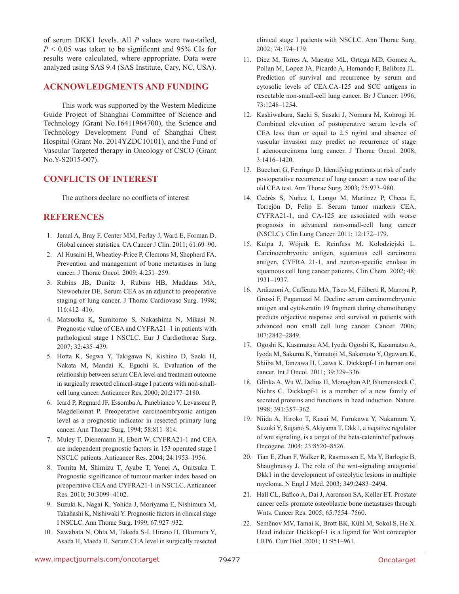of serum DKK1 levels. All *P* values were two-tailed,  $P \le 0.05$  was taken to be significant and 95% CIs for results were calculated, where appropriate. Data were analyzed using SAS 9.4 (SAS Institute, Cary, NC, USA).

### **ACKNOWLEDGMENTS AND FUNDING**

This work was supported by the Western Medicine Guide Project of Shanghai Committee of Science and Technology (Grant No.16411964700), the Science and Technology Development Fund of Shanghai Chest Hospital (Grant No. 2014YZDC10101), and the Fund of Vascular Targeted therapy in Oncology of CSCO (Grant No.Y-S2015-007).

# **CONFLICTS OF INTEREST**

The authors declare no conflicts of interest

# **REFERENCES**

- 1. Jemal A, Bray F, Center MM, Ferlay J, Ward E, Forman D. Global cancer statistics. CA Cancer J Clin. 2011; 61:69–90.
- 2. Al Husaini H, Wheatley-Price P, Clemons M, Shepherd FA. Prevention and management of bone metastases in lung cancer. J Thorac Oncol. 2009; 4:251–259.
- 3. Rubins JB, Dunitz J, Rubins HB, Maddaus MA, Niewoehner DE. Serum CEA as an adjunct to preoperative staging of lung cancer. J Thorac Cardiovasc Surg. 1998; 116:412–416.
- 4. Matsuoka K, Sumitomo S, Nakashima N, Mikasi N. Prognostic value of CEA and CYFRA21–1 in patients with pathological stage I NSCLC. Eur J Cardiothorac Surg. 2007; 32:435–439.
- 5. Hotta K, Segwa Y, Takigawa N, Kishino D, Saeki H, Nakata M, Mandai K, Eguchi K. Evaluation of the relationship between serum CEA level and treatment outcome in surgically resected clinical-stage I patients with non-smallcell lung cancer. Anticancer Res. 2000; 20:2177–2180.
- 6. Icard P, Regnard JF, Essomba A, Panebianco V, Levasseur P, Magdelleinat P. Preoperative carcinoembryonic antigen level as a prognostic indicator in resected primary lung cancer. Ann Thorac Surg. 1994; 58:811–814.
- 7. Muley T, Dienemann H, Ebert W. CYFRA21-1 and CEA are independent prognostic factors in 153 operated stage I NSCLC patients. Anticancer Res. 2004; 24:1953–1956.
- 8. Tomita M, Shimizu T, Ayabe T, Yonei A, Onitsuka T. Prognostic significance of tumour marker index based on preoperative CEA and CYFRA21-1 in NSCLC. Anticancer Res. 2010; 30:3099–4102.
- 9. Suzuki K, Nagai K, Yohida J, Moriyama E, Nishimura M, Takahashi K, Nishiwaki Y. Prognostic factors in clinical stage I NSCLC. Ann Thorac Surg. 1999; 67:927–932.
- 10. Sawabata N, Ohta M, Takeda S-I, Hirano H, Okumura Y, Asada H, Maeda H. Serum CEA level in surgically resected

clinical stage I patients with NSCLC. Ann Thorac Surg. 2002; 74:174–179.

- 11. Diez M, Torres A, Maestro ML, Ortega MD, Gomez A, Pollan M, Lopez JA, Picardo A, Hernando F, Balibrea JL. Prediction of survival and recurrence by serum and cytosolic levels of CEA.CA-125 and SCC antigens in resectable non-small-cell lung cancer. Br J Cancer. 1996; 73:1248–1254.
- 12. Kashiwabara, Saeki S, Sasaki J, Nomura M, Kohrogi H. Combined elevation of postoperative serum levels of CEA less than or equal to 2.5 ng/ml and absence of vascular invasion may predict no recurrence of stage I adenocarcinoma lung cancer. J Thorac Oncol. 2008; 3:1416–1420.
- 13. Buccheri G, Ferringo D. Identifying patients at risk of early postoperative recurrence of lung cancer: a new use of the old CEA test. Ann Thorac Surg. 2003; 75:973–980.
- 14. Cedrés S, Nuñez I, Longo M, Martinez P, Checa E, Torrejón D, Felip E. Serum tumor markers CEA, CYFRA21-1, and CA-125 are associated with worse prognosis in advanced non-small-cell lung cancer (NSCLC). Clin Lung Cancer. 2011; 12:172–179.
- 15. Kulpa J, Wójcik E, Reinfuss M, Kołodziejski L. Carcinoembryonic antigen, squamous cell carcinoma antigen, CYFRA 21-1, and neuron-specific enolase in squamous cell lung cancer patients. Clin Chem. 2002; 48: 1931–1937.
- 16. Ardizzoni A, Cafferata MA, Tiseo M, Filiberti R, Marroni P, Grossi F, Paganuzzi M. Decline serum carcinomebryonic antigen and cytokeratin 19 fragment during chemotherapy predicts objective response and survival in patients with advanced non small cell lung cancer. Cancer. 2006; 107:2842–2849.
- 17. Ogoshi K, Kasamatsu AM, Iyoda Ogoshi K, Kasamatsu A, Iyoda M, Sakuma K, Yamatoji M, Sakamoto Y, Ogawara K, Shiiba M, Tanzawa H, Uzawa K. Dickkopf-1 in human oral cancer. Int J Oncol. 2011; 39:329–336.
- 18. Glinka A, Wu W, Delius H, Monaghan AP, Blumenstock C, Niehrs C. Dickkopf-1 is a member of a new family of secreted proteins and functions in head induction. Nature. 1998; 391:357–362.
- 19. Niida A, Hiroko T, Kasai M, Furukawa Y, Nakamura Y, Suzuki Y, Sugano S, Akiyama T. Dkk1, a negative regulator of wnt signaling, is a target of the beta-catenin/tcf pathway. Oncogene. 2004; 23:8520–8526.
- 20. Tian E, Zhan F, Walker R, Rasmussen E, Ma Y, Barlogie B, Shaughnessy J. The role of the wnt-signaling antagonist Dkk1 in the development of osteolytic lesions in multiple myeloma. N Engl J Med. 2003; 349:2483–2494.
- 21. Hall CL, Bafico A, Dai J, Aaronson SA, Keller ET. Prostate cancer cells promote osteoblastic bone metastases through Wnts. Cancer Res. 2005; 65:7554–7560.
- 22. Semënov MV, Tamai K, Brott BK, Kühl M, Sokol S, He X. Head inducer Dickkopf-1 is a ligand for Wnt coreceptor LRP6. Curr Biol. 2001; 11:951–961.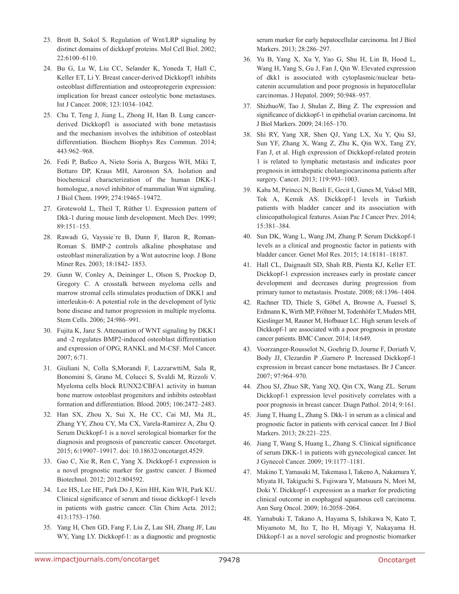- 23. Brott B, Sokol S. Regulation of Wnt/LRP signaling by distinct domains of dickkopf proteins. Mol Cell Biol. 2002; 22:6100–6110.
- 24. Bu G, Lu W, Liu CC, Selander K, Yoneda T, Hall C, Keller ET, Li Y. Breast cancer-derived Dickkopf1 inhibits osteoblast differentiation and osteoprotegerin expression: implication for breast cancer osteolytic bone metastases. Int J Cancer. 2008; 123:1034–1042.
- 25. Chu T, Teng J, Jiang L, Zhong H, Han B. Lung cancerderived Dickkopf1 is associated with bone metastasis and the mechanism involves the inhibition of osteoblast differentiation. Biochem Biophys Res Commun. 2014; 443:962–968.
- 26. Fedi P, Bafico A, Nieto Soria A, Burgess WH, Miki T, Bottaro DP, Kraus MH, Aaronson SA. Isolation and biochemical characterization of the human DKK-1 homologue, a novel inhibitor of mammalian Wnt signaling. J Biol Chem. 1999; 274:19465–19472.
- 27. Grotewold L, Theil T, Rüther U. Expression pattern of Dkk-1 during mouse limb development. Mech Dev. 1999; 89:151–153.
- 28. Rawadi G, Vayssie`re B, Dunn F, Baron R, Roman-Roman S. BMP-2 controls alkaline phosphatase and osteoblast mineralization by a Wnt autocrine loop. J Bone Miner Res. 2003; 18:1842- 1853.
- 29. Gunn W, Conley A, Deininger L, Olson S, Prockop D, Gregory C. A crosstalk between myeloma cells and marrow stromal cells stimulates production of DKK1 and interleukin-6: A potential role in the development of lytic bone disease and tumor progression in multiple myeloma. Stem Cells. 2006; 24:986–991.
- 30. Fujita K, Janz S. Attenuation of WNT signaling by DKK1 and -2 regulates BMP2-induced osteoblast differentiation and expression of OPG, RANKL and M-CSF. Mol Cancer. 2007; 6:71.
- 31. Giuliani N, Colla S,Morandi F, LazzarwttiM, Sala R, Bonomini S, Grano M, Colucci S, Svaldi M, Rizzoli V. Myeloma cells block RUNX2/CBFA1 activity in human bone marrow osteoblast progenitors and inhibits osteoblast formation and differentiation. Blood. 2005; 106:2472–2483.
- 32. Han SX, Zhou X, Sui X, He CC, Cai MJ, Ma JL, Zhang YY, Zhou CY, Ma CX, Varela-Ramirez A, Zhu Q. Serum Dickkopf-1 is a novel serological biomarker for the diagnosis and prognosis of pancreatic cancer. Oncotarget. 2015; 6:19907–19917. doi: 10.18632/oncotarget.4529.
- 33. Gao C, Xie R, Ren C, Yang X. Dickkopf-1 expression is a novel prognostic marker for gastric cancer. J Biomed Biotechnol. 2012; 2012:804592.
- 34. Lee HS, Lee HE, Park Do J, Kim HH, Kim WH, Park KU. Clinical significance of serum and tissue dickkopf-1 levels in patients with gastric cancer. Clin Chim Acta. 2012; 413:1753–1760.
- 35. Yang H, Chen GD, Fang F, Liu Z, Lau SH, Zhang JF, Lau WY, Yang LY. Dickkopf-1: as a diagnostic and prognostic

serum marker for early hepatocellular carcinoma. Int J Biol Markers. 2013; 28:286–297.

- 36. Yu B, Yang X, Xu Y, Yao G, Shu H, Lin B, Hood L, Wang H, Yang S, Gu J, Fan J, Qin W. Elevated expression of dkk1 is associated with cytoplasmic/nuclear betacatenin accumulation and poor prognosis in hepatocellular carcinomas. J Hepatol. 2009; 50:948–957.
- 37. ShizhuoW, Tao J, Shulan Z, Bing Z. The expression and significance of dickkopf-1 in epithelial ovarian carcinoma. Int J Biol Markers. 2009; 24:165–170.
- 38. Shi RY, Yang XR, Shen QJ, Yang LX, Xu Y, Qiu SJ, Sun YF, Zhang X, Wang Z, Zhu K, Qin WX, Tang ZY, Fan J, et al. High expression of Dickkopf-related protein 1 is related to lymphatic metastasis and indicates poor prognosis in intrahepatic cholangiocarcinoma patients after surgery. Cancer. 2013; 119:993–1003.
- 39. Kaba M, Pirincci N, Benli E, Gecit I, Gunes M, Yuksel MB, Tok A, Kemik AS. Dickkopf-1 levels in Turkish patients with bladder cancer and its association with clinicopathological features. Asian Pac J Cancer Prev. 2014; 15:381–384.
- 40. Sun DK, Wang L, Wang JM, Zhang P. Serum Dickkopf-1 levels as a clinical and prognostic factor in patients with bladder cancer. Genet Mol Res. 2015; 14:18181–18187.
- 41. Hall CL, Daignault SD, Shah RB, Pienta KJ, Keller ET. Dickkopf-1 expression increases early in prostate cancer development and decreases during progression from primary tumor to metastasis. Prostate. 2008; 68:1396–1404.
- 42. Rachner TD, Thiele S, Göbel A, Browne A, Fuessel S, Erdmann K, Wirth MP, Fröhner M, Todenhöfer T, Muders MH, Kieslinger M, Rauner M, Hofbauer LC. High serum levels of Dickkopf-1 are associated with a poor prognosis in prostate cancer patients. BMC Cancer. 2014; 14:649.
- 43. Voorzanger-Rousselot N, Goehrig D, Journe F, Doriath V, Body JJ, Clezardin P ,Garnero P. Increased Dickkopf-1 expression in breast cancer bone metastases. Br J Cancer. 2007; 97:964–970.
- 44. Zhou SJ, Zhuo SR, Yang XQ, Qin CX, Wang ZL. Serum Dickkopf-1 expression level positively correlates with a poor prognosis in breast cancer. Diagn Pathol. 2014; 9:161.
- 45. Jiang T, Huang L, Zhang S. Dkk-1 in serum as a clinical and prognostic factor in patients with cervical cancer. Int J Biol Markers. 2013; 28:221–225.
- 46. Jiang T, Wang S, Huang L, Zhang S. Clinical significance of serum DKK-1 in patients with gynecological cancer. Int J Gynecol Cancer. 2009; 19:1177–1181.
- 47. Makino T, Yamasaki M, Takemasa I, Takeno A, Nakamura Y, Miyata H, Takiguchi S, Fujiwara Y, Matsuura N, Mori M, Doki Y. Dickkopf-1 expression as a marker for predicting clinical outcome in esophageal squamous cell carcinoma. Ann Surg Oncol. 2009; 16:2058–2064.
- 48. Yamabuki T, Takano A, Hayama S, Ishikawa N, Kato T, Miyamoto M, Ito T, Ito H, Miyagi Y, Nakayama H. Dikkopf-1 as a novel serologic and prognostic biomarker